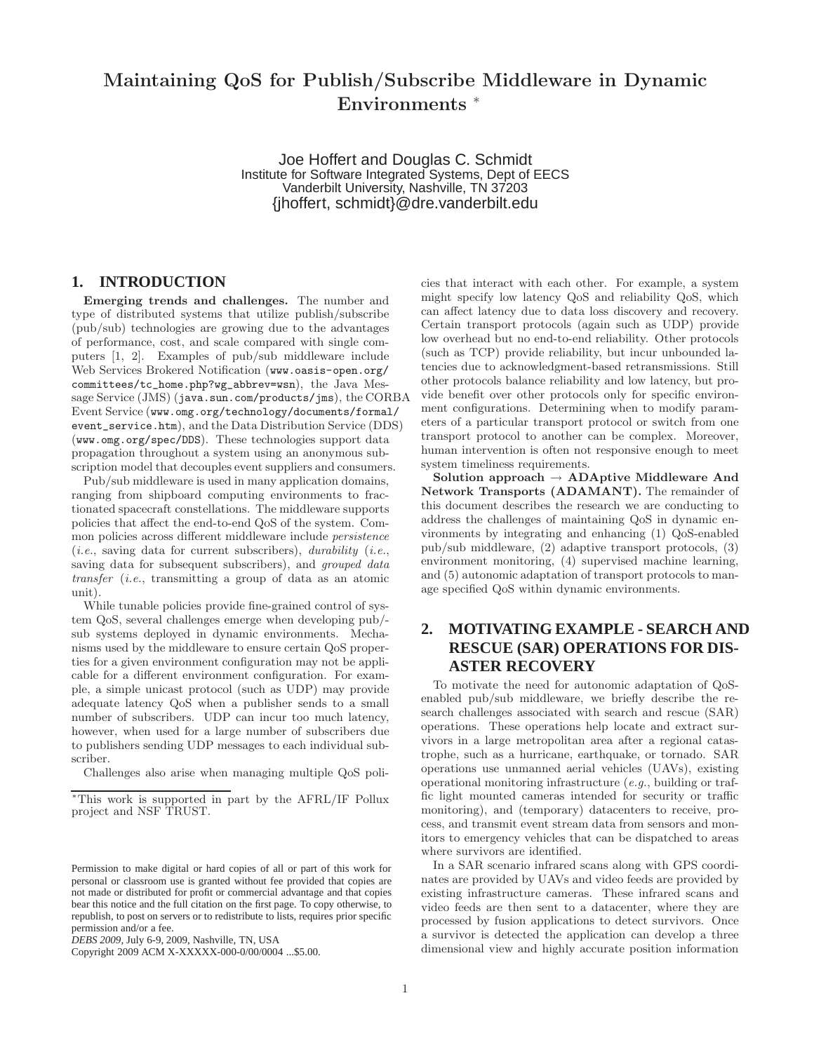# **Maintaining QoS for Publish/Subscribe Middleware in Dynamic Environments** <sup>∗</sup>

Joe Hoffert and Douglas C. Schmidt Institute for Software Integrated Systems, Dept of EECS Vanderbilt University, Nashville, TN 37203 {jhoffert, schmidt}@dre.vanderbilt.edu

#### **1. INTRODUCTION**

**Emerging trends and challenges.** The number and type of distributed systems that utilize publish/subscribe (pub/sub) technologies are growing due to the advantages of performance, cost, and scale compared with single computers [1, 2]. Examples of pub/sub middleware include Web Services Brokered Notification (www.oasis-open.org/ committees/tc\_home.php?wg\_abbrev=wsn), the Java Message Service (JMS) (java.sun.com/products/jms), the CORBA Event Service (www.omg.org/technology/documents/formal/ event\_service.htm), and the Data Distribution Service (DDS) (www.omg.org/spec/DDS). These technologies support data propagation throughout a system using an anonymous subscription model that decouples event suppliers and consumers.

Pub/sub middleware is used in many application domains, ranging from shipboard computing environments to fractionated spacecraft constellations. The middleware supports policies that affect the end-to-end QoS of the system. Common policies across different middleware include *persistence* (*i.e.*, saving data for current subscribers), *durability* (*i.e.*, saving data for subsequent subscribers), and *grouped data transfer* (*i.e.*, transmitting a group of data as an atomic unit).

While tunable policies provide fine-grained control of system QoS, several challenges emerge when developing pub/ sub systems deployed in dynamic environments. Mechanisms used by the middleware to ensure certain QoS properties for a given environment configuration may not be applicable for a different environment configuration. For example, a simple unicast protocol (such as UDP) may provide adequate latency QoS when a publisher sends to a small number of subscribers. UDP can incur too much latency, however, when used for a large number of subscribers due to publishers sending UDP messages to each individual subscriber.

Challenges also arise when managing multiple QoS poli-

Copyright 2009 ACM X-XXXXX-000-0/00/0004 ...\$5.00.

cies that interact with each other. For example, a system might specify low latency QoS and reliability QoS, which can affect latency due to data loss discovery and recovery. Certain transport protocols (again such as UDP) provide low overhead but no end-to-end reliability. Other protocols (such as TCP) provide reliability, but incur unbounded latencies due to acknowledgment-based retransmissions. Still other protocols balance reliability and low latency, but provide benefit over other protocols only for specific environment configurations. Determining when to modify parameters of a particular transport protocol or switch from one transport protocol to another can be complex. Moreover, human intervention is often not responsive enough to meet system timeliness requirements.

**Solution approach** → **ADAptive Middleware And Network Transports (ADAMANT).** The remainder of this document describes the research we are conducting to address the challenges of maintaining QoS in dynamic environments by integrating and enhancing (1) QoS-enabled pub/sub middleware, (2) adaptive transport protocols, (3) environment monitoring, (4) supervised machine learning, and (5) autonomic adaptation of transport protocols to manage specified QoS within dynamic environments.

# **2. MOTIVATING EXAMPLE - SEARCH AND RESCUE (SAR) OPERATIONS FOR DIS-ASTER RECOVERY**

To motivate the need for autonomic adaptation of QoSenabled pub/sub middleware, we briefly describe the research challenges associated with search and rescue (SAR) operations. These operations help locate and extract survivors in a large metropolitan area after a regional catastrophe, such as a hurricane, earthquake, or tornado. SAR operations use unmanned aerial vehicles (UAVs), existing operational monitoring infrastructure (*e.g.*, building or traffic light mounted cameras intended for security or traffic monitoring), and (temporary) datacenters to receive, process, and transmit event stream data from sensors and monitors to emergency vehicles that can be dispatched to areas where survivors are identified.

In a SAR scenario infrared scans along with GPS coordinates are provided by UAVs and video feeds are provided by existing infrastructure cameras. These infrared scans and video feeds are then sent to a datacenter, where they are processed by fusion applications to detect survivors. Once a survivor is detected the application can develop a three dimensional view and highly accurate position information

<sup>∗</sup>This work is supported in part by the AFRL/IF Pollux project and NSF TRUST.

Permission to make digital or hard copies of all or part of this work for personal or classroom use is granted without fee provided that copies are not made or distributed for profit or commercial advantage and that copies bear this notice and the full citation on the first page. To copy otherwise, to republish, to post on servers or to redistribute to lists, requires prior specific permission and/or a fee.

*DEBS 2009,* July 6-9, 2009, Nashville, TN, USA